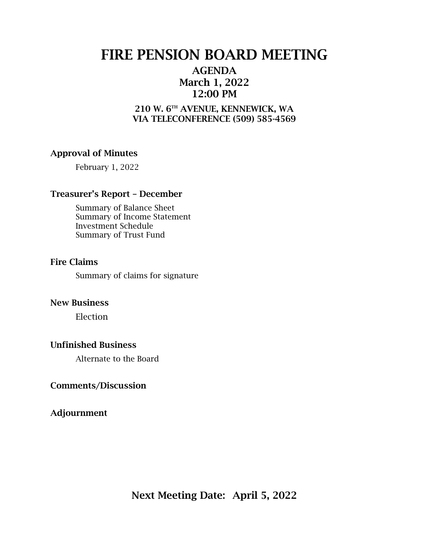# FIRE PENSION BOARD MEETING

### AGENDA March 1, 2022 12:00 PM

### 210 W. 6TH AVENUE, KENNEWICK, WA VIA TELECONFERENCE (509) 585-4569

### Approval of Minutes

February 1, 2022

### Treasurer's Report – December

Summary of Balance Sheet Summary of Income Statement Investment Schedule Summary of Trust Fund

### Fire Claims

Summary of claims for signature

### New Business

Election

### Unfinished Business

Alternate to the Board

### Comments/Discussion

Adjournment

Next Meeting Date: April 5, 2022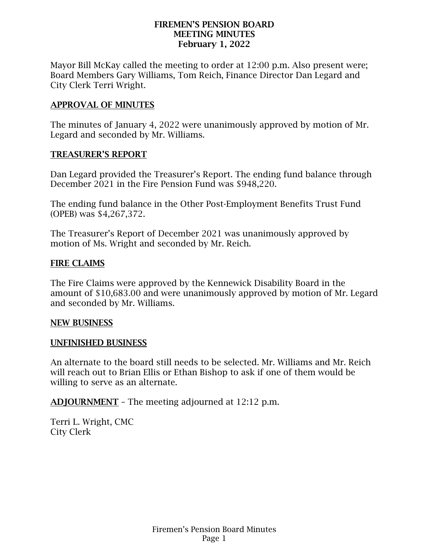### FIREMEN'S PENSION BOARD MEETING MINUTES February 1, 2022

Mayor Bill McKay called the meeting to order at 12:00 p.m. Also present were; Board Members Gary Williams, Tom Reich, Finance Director Dan Legard and City Clerk Terri Wright.

### APPROVAL OF MINUTES

The minutes of January 4, 2022 were unanimously approved by motion of Mr. Legard and seconded by Mr. Williams.

### TREASURER'S REPORT

Dan Legard provided the Treasurer's Report. The ending fund balance through December 2021 in the Fire Pension Fund was \$948,220.

The ending fund balance in the Other Post-Employment Benefits Trust Fund (OPEB) was \$4,267,372.

The Treasurer's Report of December 2021 was unanimously approved by motion of Ms. Wright and seconded by Mr. Reich.

### FIRE CLAIMS

The Fire Claims were approved by the Kennewick Disability Board in the amount of \$10,683.00 and were unanimously approved by motion of Mr. Legard and seconded by Mr. Williams.

### NEW BUSINESS

### UNFINISHED BUSINESS

An alternate to the board still needs to be selected. Mr. Williams and Mr. Reich will reach out to Brian Ellis or Ethan Bishop to ask if one of them would be willing to serve as an alternate.

ADJOURNMENT – The meeting adjourned at 12:12 p.m.

Terri L. Wright, CMC City Clerk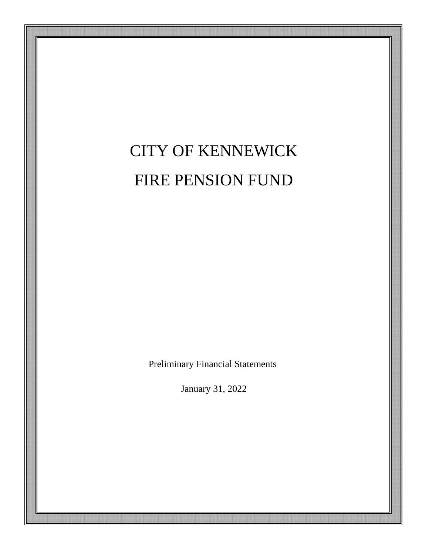# CITY OF KENNEWICK FIRE PENSION FUND

Preliminary Financial Statements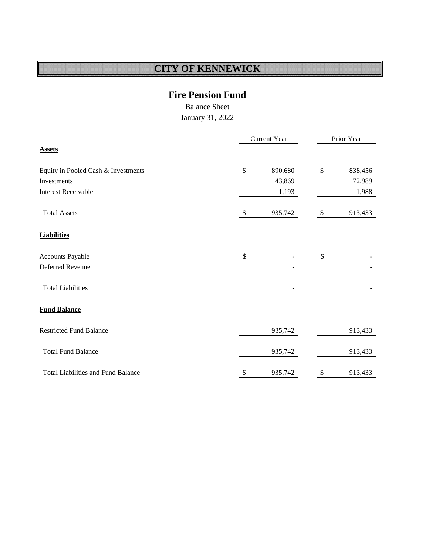### **Fire Pension Fund**

Balance Sheet

<span id="page-3-0"></span>

|                                           | Current Year  |         | Prior Year    |         |  |  |
|-------------------------------------------|---------------|---------|---------------|---------|--|--|
| <b>Assets</b>                             |               |         |               |         |  |  |
| Equity in Pooled Cash & Investments       | \$            | 890,680 | $\mathbb{S}$  | 838,456 |  |  |
| Investments                               |               | 43,869  |               | 72,989  |  |  |
| <b>Interest Receivable</b>                |               | 1,193   |               | 1,988   |  |  |
| <b>Total Assets</b>                       | \$            | 935,742 | S             | 913,433 |  |  |
| <b>Liabilities</b>                        |               |         |               |         |  |  |
| Accounts Payable                          | $\mathcal{S}$ |         | $\mathcal{S}$ |         |  |  |
| Deferred Revenue                          |               |         |               | -       |  |  |
| <b>Total Liabilities</b>                  |               |         |               |         |  |  |
| <b>Fund Balance</b>                       |               |         |               |         |  |  |
| <b>Restricted Fund Balance</b>            |               | 935,742 |               | 913,433 |  |  |
| <b>Total Fund Balance</b>                 |               | 935,742 |               | 913,433 |  |  |
| <b>Total Liabilities and Fund Balance</b> | \$            | 935,742 | \$            | 913,433 |  |  |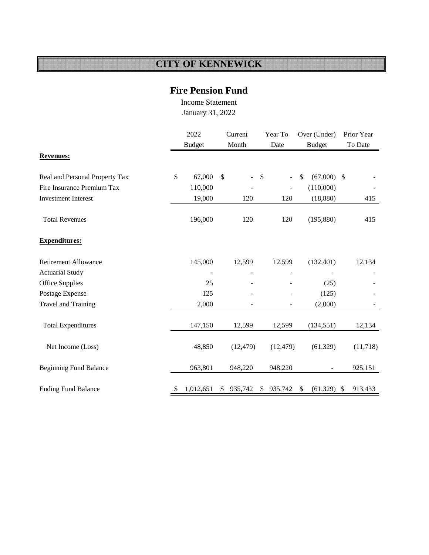### **Fire Pension Fund**

Income Statement January 31, 2022

|                                | 2022 |                | Current       |      | Year To                      |               | Over (Under)             |         | Prior Year |
|--------------------------------|------|----------------|---------------|------|------------------------------|---------------|--------------------------|---------|------------|
|                                |      | <b>Budget</b>  | Month         | Date |                              | <b>Budget</b> |                          | To Date |            |
| <b>Revenues:</b>               |      |                |               |      |                              |               |                          |         |            |
| Real and Personal Property Tax | \$   | 67,000         | \$<br>$\sim$  | \$   | $\overline{\phantom{a}}$     | \$            | $(67,000)$ \$            |         |            |
| Fire Insurance Premium Tax     |      | 110,000        |               |      | $\qquad \qquad \blacksquare$ |               | (110,000)                |         |            |
| <b>Investment Interest</b>     |      | 19,000         | 120           |      | 120                          |               | (18, 880)                |         | 415        |
| <b>Total Revenues</b>          |      | 196,000        | 120           |      | 120                          |               | (195, 880)               |         | 415        |
| <b>Expenditures:</b>           |      |                |               |      |                              |               |                          |         |            |
| <b>Retirement Allowance</b>    |      | 145,000        | 12,599        |      | 12,599                       |               | (132, 401)               |         | 12,134     |
| <b>Actuarial Study</b>         |      | $\overline{a}$ |               |      |                              |               |                          |         |            |
| Office Supplies                |      | 25             |               |      |                              |               | (25)                     |         |            |
| Postage Expense                |      | 125            |               |      |                              |               | (125)                    |         |            |
| <b>Travel and Training</b>     |      | 2,000          |               |      |                              |               | (2,000)                  |         |            |
| <b>Total Expenditures</b>      |      | 147,150        | 12,599        |      | 12,599                       |               | (134, 551)               |         | 12,134     |
| Net Income (Loss)              |      | 48,850         | (12, 479)     |      | (12, 479)                    |               | (61, 329)                |         | (11,718)   |
| <b>Beginning Fund Balance</b>  |      | 963,801        | 948,220       |      | 948,220                      |               | $\overline{\phantom{a}}$ |         | 925,151    |
| <b>Ending Fund Balance</b>     | \$   | 1,012,651      | \$<br>935,742 | \$   | 935,742                      | \$            | (61, 329)                | -S      | 913,433    |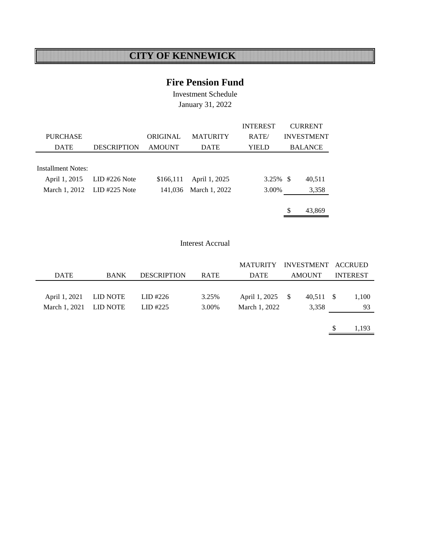### **Fire Pension Fund**

Investment Schedule January 31, 2022

|                           |                             |               |                 | <b>INTEREST</b> | <b>CURRENT</b>    |
|---------------------------|-----------------------------|---------------|-----------------|-----------------|-------------------|
| <b>PURCHASE</b>           |                             | ORIGINAL      | <b>MATURITY</b> | RATE/           | <b>INVESTMENT</b> |
| <b>DATE</b>               | <b>DESCRIPTION</b>          | <b>AMOUNT</b> | <b>DATE</b>     | YIELD           | <b>BALANCE</b>    |
|                           |                             |               |                 |                 |                   |
| <b>Installment Notes:</b> |                             |               |                 |                 |                   |
| April 1, 2015             | $LID$ #226 Note             | \$166,111     | April 1, 2025   | $3.25\%$ \$     | 40,511            |
|                           | March 1, 2012 LID #225 Note | 141,036       | March 1, 2022   | 3.00%           | 3,358             |
|                           |                             |               |                 |                 |                   |
|                           |                             |               |                 |                 | \$<br>43.869      |

#### Interest Accrual

|                        |             |                    |             | MATURITY INVESTMENT ACCRUED |               |           |             |  |                 |
|------------------------|-------------|--------------------|-------------|-----------------------------|---------------|-----------|-------------|--|-----------------|
| <b>DATE</b>            | <b>BANK</b> | <b>DESCRIPTION</b> | <b>RATE</b> |                             | <b>AMOUNT</b> |           | <b>DATE</b> |  | <b>INTEREST</b> |
|                        |             |                    |             |                             |               |           |             |  |                 |
| April 1, 2021          | LID NOTE    | LID #226           | 3.25%       | April 1, 2025 \$            |               | 40,511 \$ | 1,100       |  |                 |
| March 1, 2021 LID NOTE |             | LID #225           | 3.00%       | March 1, 2022               |               | 3,358     | 93          |  |                 |
|                        |             |                    |             |                             |               |           |             |  |                 |

 $$ 1,193$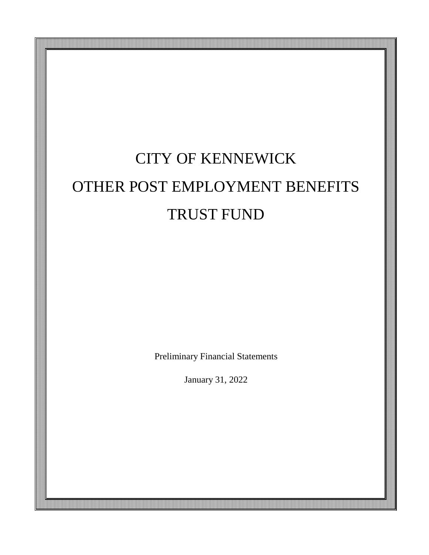# CITY OF KENNEWICK OTHER POST EMPLOYMENT BENEFITS TRUST FUND

Preliminary Financial Statements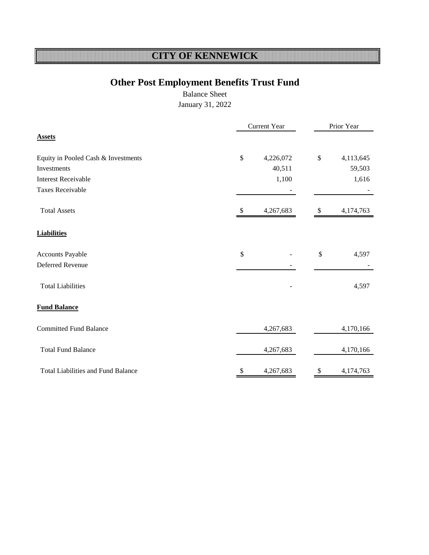# **Other Post Employment Benefits Trust Fund**

Balance Sheet

|                                           | <b>Current Year</b> |           |                           | Prior Year |  |
|-------------------------------------------|---------------------|-----------|---------------------------|------------|--|
| <b>Assets</b>                             |                     |           |                           |            |  |
| Equity in Pooled Cash & Investments       | $\$$                | 4,226,072 | $\boldsymbol{\mathsf{S}}$ | 4,113,645  |  |
| Investments                               |                     | 40,511    |                           | 59,503     |  |
| <b>Interest Receivable</b>                |                     | 1,100     |                           | 1,616      |  |
| <b>Taxes Receivable</b>                   |                     |           |                           |            |  |
| <b>Total Assets</b>                       | \$                  | 4,267,683 | \$                        | 4,174,763  |  |
| <b>Liabilities</b>                        |                     |           |                           |            |  |
| Accounts Payable                          | \$                  |           | \$                        | 4,597      |  |
| <b>Deferred Revenue</b>                   |                     |           |                           |            |  |
| <b>Total Liabilities</b>                  |                     |           |                           | 4,597      |  |
| <b>Fund Balance</b>                       |                     |           |                           |            |  |
| <b>Committed Fund Balance</b>             |                     | 4,267,683 |                           | 4,170,166  |  |
| <b>Total Fund Balance</b>                 |                     | 4,267,683 |                           | 4,170,166  |  |
| <b>Total Liabilities and Fund Balance</b> | \$                  | 4,267,683 | \$                        | 4,174,763  |  |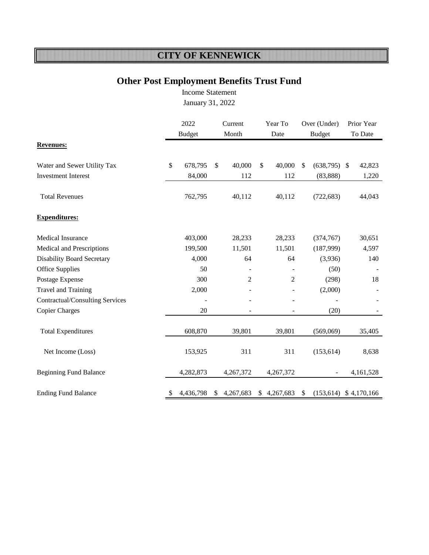## **Other Post Employment Benefits Trust Fund**

Income Statement [January 31, 2022](#page-3-0)

|                                        | 2022<br><b>Budget</b> |           | Current<br>Month |                | Year To<br>Date |                          | Over (Under)<br><b>Budget</b> |                | Prior Year<br>To Date |                          |
|----------------------------------------|-----------------------|-----------|------------------|----------------|-----------------|--------------------------|-------------------------------|----------------|-----------------------|--------------------------|
| <b>Revenues:</b>                       |                       |           |                  |                |                 |                          |                               |                |                       |                          |
| Water and Sewer Utility Tax            | \$                    | 678,795   | \$               | 40,000         | $\mathbb{S}$    | 40,000                   | $\mathbb{S}$                  | $(638,795)$ \$ |                       | 42,823                   |
| <b>Investment Interest</b>             |                       | 84,000    |                  | 112            |                 | 112                      |                               | (83, 888)      |                       | 1,220                    |
| <b>Total Revenues</b>                  |                       | 762,795   |                  | 40,112         |                 | 40,112                   |                               | (722, 683)     |                       | 44,043                   |
| <b>Expenditures:</b>                   |                       |           |                  |                |                 |                          |                               |                |                       |                          |
| <b>Medical Insurance</b>               |                       | 403,000   |                  | 28,233         |                 | 28,233                   |                               | (374, 767)     |                       | 30,651                   |
| Medical and Prescriptions              |                       | 199,500   |                  | 11,501         |                 | 11,501                   |                               | (187,999)      |                       | 4,597                    |
| <b>Disability Board Secretary</b>      |                       | 4,000     |                  | 64             |                 | 64                       |                               | (3,936)        |                       | 140                      |
| <b>Office Supplies</b>                 |                       | 50        |                  |                |                 | $\blacksquare$           |                               | (50)           |                       |                          |
| Postage Expense                        |                       | 300       |                  | $\overline{2}$ |                 | $\overline{2}$           |                               | (298)          |                       | 18                       |
| Travel and Training                    |                       | 2,000     |                  |                |                 |                          |                               | (2,000)        |                       |                          |
| <b>Contractual/Consulting Services</b> |                       |           |                  |                |                 | $\overline{\phantom{0}}$ |                               |                |                       |                          |
| <b>Copier Charges</b>                  |                       | 20        |                  |                |                 |                          |                               | (20)           |                       |                          |
| <b>Total Expenditures</b>              |                       | 608,870   |                  | 39,801         |                 | 39,801                   |                               | (569,069)      |                       | 35,405                   |
| Net Income (Loss)                      |                       | 153,925   |                  | 311            |                 | 311                      |                               | (153, 614)     |                       | 8,638                    |
| <b>Beginning Fund Balance</b>          |                       | 4,282,873 |                  | 4,267,372      |                 | 4,267,372                |                               |                |                       | 4,161,528                |
| <b>Ending Fund Balance</b>             | \$                    | 4,436,798 |                  | 4,267,683      | <sup>S</sup>    | 4,267,683                | <sup>\$</sup>                 |                |                       | $(153,614)$ \$ 4,170,166 |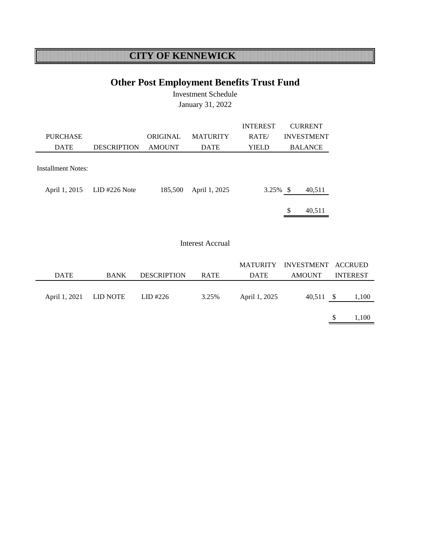## **Other Post Employment Benefits Trust Fund**

Investment Schedule January 31, 2022

|                    |                    |               |                 | <b>INTEREST</b> | <b>CURRENT</b>    |
|--------------------|--------------------|---------------|-----------------|-----------------|-------------------|
| <b>PURCHASE</b>    |                    | ORIGINAL      | <b>MATURITY</b> | RATE/           | <b>INVESTMENT</b> |
| <b>DATE</b>        | <b>DESCRIPTION</b> | <b>AMOUNT</b> | <b>DATE</b>     | YIELD           | <b>BALANCE</b>    |
|                    |                    |               |                 |                 |                   |
| Installment Notes: |                    |               |                 |                 |                   |
|                    |                    |               |                 |                 |                   |
| April 1, 2015      | $LID$ #226 Note    | 185,500       | April 1, 2025   | $3.25\%$ \$     | 40,511            |
|                    |                    |               |                 |                 |                   |
|                    |                    |               |                 |                 | \$<br>40.511      |

#### Interest Accrual

|                        |             |                    |             |               | MATURITY INVESTMENT ACCRUED |                 |
|------------------------|-------------|--------------------|-------------|---------------|-----------------------------|-----------------|
| <b>DATE</b>            | <b>BANK</b> | <b>DESCRIPTION</b> | <b>RATE</b> | <b>DATE</b>   | AMOUNT                      | <b>INTEREST</b> |
| April 1, 2021 LID NOTE |             | LID #226           | 3.25%       | April 1, 2025 | 40,511 \$                   | 1,100           |
|                        |             |                    |             |               |                             |                 |
|                        |             |                    |             |               |                             | 1,100           |